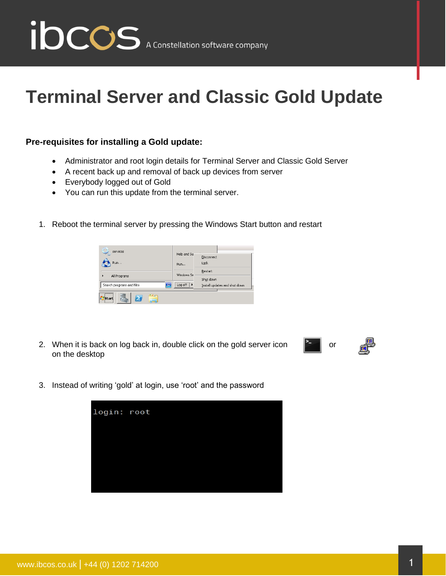

## **Terminal Server and Classic Gold Update**

## **Pre-requisites for installing a Gold update:**

- Administrator and root login details for Terminal Server and Classic Gold Server
- A recent back up and removal of back up devices from server
- Everybody logged out of Gold
- You can run this update from the terminal server.
- 1. Reboot the terminal server by pressing the Windows Start button and restart



2. When it is back on log back in, double click on the gold server icon  $\begin{array}{|c|c|} \hline \end{array}$  or on the desktop



3. Instead of writing 'gold' at login, use 'root' and the password

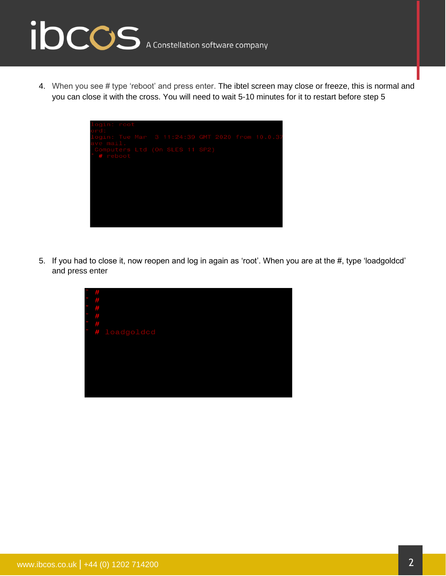## ibccos A Constellation software company

4. When you see # type 'reboot' and press enter. The ibtel screen may close or freeze, this is normal and you can close it with the cross. You will need to wait 5-10 minutes for it to restart before step 5

| login: root<br>ord:                        |  |  |  |
|--------------------------------------------|--|--|--|
| ave mail.                                  |  |  |  |
| Computers Ltd (On SLES 11 SP2)<br># reboot |  |  |  |
|                                            |  |  |  |
|                                            |  |  |  |
|                                            |  |  |  |
|                                            |  |  |  |
|                                            |  |  |  |

5. If you had to close it, now reopen and log in again as 'root'. When you are at the #, type 'loadgoldcd' and press enter

| Ħ          |                                   |
|------------|-----------------------------------|
| P          |                                   |
| $\ddot{r}$ |                                   |
| $\ddot{H}$ |                                   |
|            |                                   |
|            | #<br># loadgoldcd<br># loadgoldcd |
|            |                                   |
|            |                                   |
|            |                                   |
|            |                                   |
|            |                                   |
|            |                                   |
|            |                                   |
|            |                                   |
|            |                                   |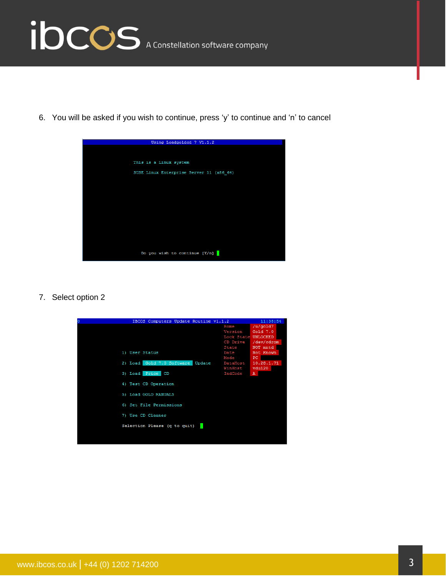

6. You will be asked if you wish to continue, press 'y' to continue and 'n' to cancel



7. Select option 2

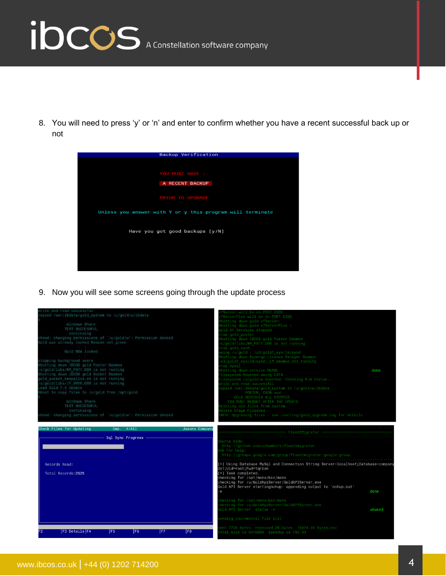

8. You will need to press 'y' or 'n' and enter to confirm whether you have a recent successful back up or not

| Backup Verification                                       |  |  |  |  |  |
|-----------------------------------------------------------|--|--|--|--|--|
|                                                           |  |  |  |  |  |
|                                                           |  |  |  |  |  |
| YOU MUST HAVE : -                                         |  |  |  |  |  |
| A RECENT BACKUP                                           |  |  |  |  |  |
|                                                           |  |  |  |  |  |
| <b>PRIOR TO UPGRADE</b>                                   |  |  |  |  |  |
|                                                           |  |  |  |  |  |
| Unless you answer with Y or y this program will terminate |  |  |  |  |  |
|                                                           |  |  |  |  |  |
| Have you got good backups [y/N]                           |  |  |  |  |  |
|                                                           |  |  |  |  |  |
|                                                           |  |  |  |  |  |
|                                                           |  |  |  |  |  |
|                                                           |  |  |  |  |  |
|                                                           |  |  |  |  |  |

9. Now you will see some screens going through the update process